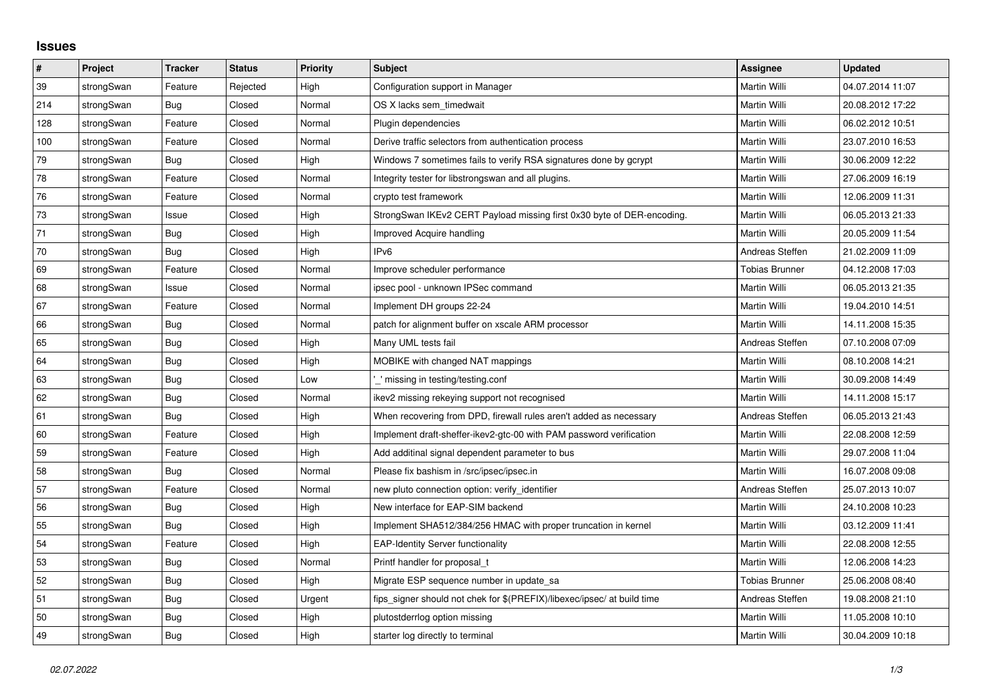## **Issues**

| $\vert$ # | Project    | <b>Tracker</b> | <b>Status</b> | <b>Priority</b> | <b>Subject</b>                                                          | Assignee              | <b>Updated</b>   |
|-----------|------------|----------------|---------------|-----------------|-------------------------------------------------------------------------|-----------------------|------------------|
| 39        | strongSwan | Feature        | Rejected      | High            | Configuration support in Manager                                        | Martin Willi          | 04.07.2014 11:07 |
| 214       | strongSwan | Bug            | Closed        | Normal          | OS X lacks sem timedwait                                                | Martin Willi          | 20.08.2012 17:22 |
| 128       | strongSwan | Feature        | Closed        | Normal          | Plugin dependencies                                                     | Martin Willi          | 06.02.2012 10:51 |
| 100       | strongSwan | Feature        | Closed        | Normal          | Derive traffic selectors from authentication process                    | Martin Willi          | 23.07.2010 16:53 |
| 79        | strongSwan | Bug            | Closed        | High            | Windows 7 sometimes fails to verify RSA signatures done by gcrypt       | Martin Willi          | 30.06.2009 12:22 |
| 78        | strongSwan | Feature        | Closed        | Normal          | Integrity tester for libstrongswan and all plugins.                     | Martin Willi          | 27.06.2009 16:19 |
| 76        | strongSwan | Feature        | Closed        | Normal          | crypto test framework                                                   | Martin Willi          | 12.06.2009 11:31 |
| 73        | strongSwan | Issue          | Closed        | High            | StrongSwan IKEv2 CERT Payload missing first 0x30 byte of DER-encoding.  | Martin Willi          | 06.05.2013 21:33 |
| 71        | strongSwan | Bug            | Closed        | High            | Improved Acquire handling                                               | Martin Willi          | 20.05.2009 11:54 |
| 70        | strongSwan | Bug            | Closed        | High            | IPv6                                                                    | Andreas Steffen       | 21.02.2009 11:09 |
| 69        | strongSwan | Feature        | Closed        | Normal          | Improve scheduler performance                                           | <b>Tobias Brunner</b> | 04.12.2008 17:03 |
| 68        | strongSwan | Issue          | Closed        | Normal          | ipsec pool - unknown IPSec command                                      | Martin Willi          | 06.05.2013 21:35 |
| 67        | strongSwan | Feature        | Closed        | Normal          | Implement DH groups 22-24                                               | Martin Willi          | 19.04.2010 14:51 |
| 66        | strongSwan | <b>Bug</b>     | Closed        | Normal          | patch for alignment buffer on xscale ARM processor                      | Martin Willi          | 14.11.2008 15:35 |
| 65        | strongSwan | Bug            | Closed        | High            | Many UML tests fail                                                     | Andreas Steffen       | 07.10.2008 07:09 |
| 64        | strongSwan | Bug            | Closed        | High            | MOBIKE with changed NAT mappings                                        | Martin Willi          | 08.10.2008 14:21 |
| 63        | strongSwan | Bug            | Closed        | Low             | ' missing in testing/testing.conf                                       | Martin Willi          | 30.09.2008 14:49 |
| 62        | strongSwan | Bug            | Closed        | Normal          | ikev2 missing rekeying support not recognised                           | Martin Willi          | 14.11.2008 15:17 |
| 61        | strongSwan | Bug            | Closed        | High            | When recovering from DPD, firewall rules aren't added as necessary      | Andreas Steffen       | 06.05.2013 21:43 |
| 60        | strongSwan | Feature        | Closed        | High            | Implement draft-sheffer-ikev2-gtc-00 with PAM password verification     | Martin Willi          | 22.08.2008 12:59 |
| 59        | strongSwan | Feature        | Closed        | High            | Add additinal signal dependent parameter to bus                         | Martin Willi          | 29.07.2008 11:04 |
| 58        | strongSwan | Bug            | Closed        | Normal          | Please fix bashism in /src/ipsec/ipsec.in                               | Martin Willi          | 16.07.2008 09:08 |
| 57        | strongSwan | Feature        | Closed        | Normal          | new pluto connection option: verify_identifier                          | Andreas Steffen       | 25.07.2013 10:07 |
| 56        | strongSwan | Bug            | Closed        | High            | New interface for EAP-SIM backend                                       | Martin Willi          | 24.10.2008 10:23 |
| 55        | strongSwan | Bug            | Closed        | High            | Implement SHA512/384/256 HMAC with proper truncation in kernel          | Martin Willi          | 03.12.2009 11:41 |
| 54        | strongSwan | Feature        | Closed        | High            | <b>EAP-Identity Server functionality</b>                                | Martin Willi          | 22.08.2008 12:55 |
| 53        | strongSwan | Bug            | Closed        | Normal          | Printf handler for proposal t                                           | Martin Willi          | 12.06.2008 14:23 |
| 52        | strongSwan | Bug            | Closed        | High            | Migrate ESP sequence number in update_sa                                | <b>Tobias Brunner</b> | 25.06.2008 08:40 |
| 51        | strongSwan | Bug            | Closed        | Urgent          | fips_signer should not chek for \$(PREFIX)/libexec/ipsec/ at build time | Andreas Steffen       | 19.08.2008 21:10 |
| 50        | strongSwan | Bug            | Closed        | High            | plutostderrlog option missing                                           | Martin Willi          | 11.05.2008 10:10 |
| 49        | strongSwan | <b>Bug</b>     | Closed        | High            | starter log directly to terminal                                        | Martin Willi          | 30.04.2009 10:18 |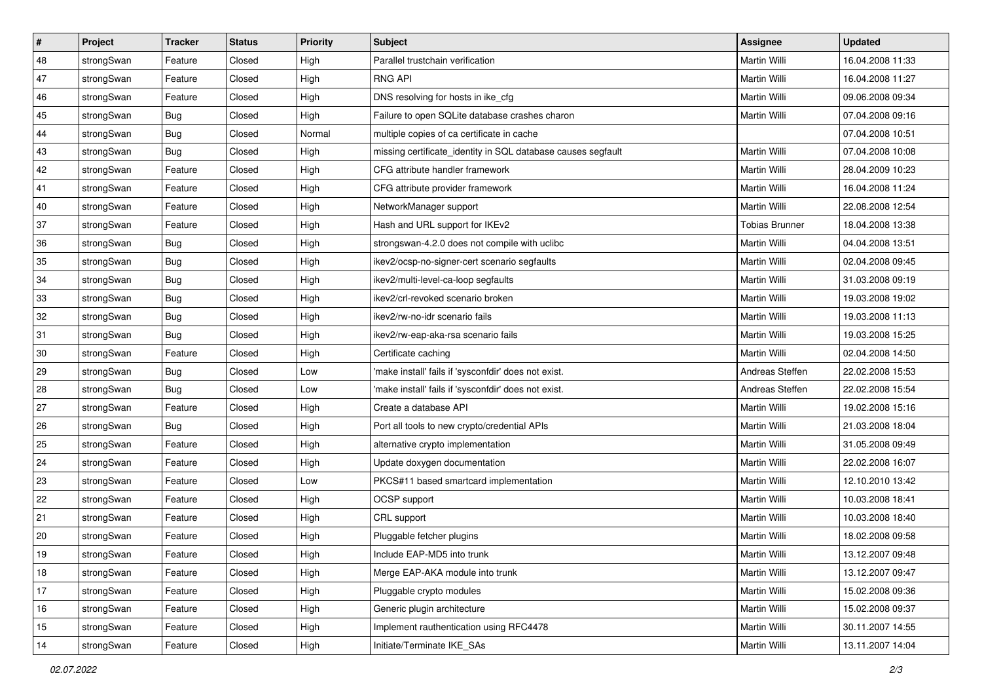| $\vert$ # | Project    | <b>Tracker</b> | <b>Status</b> | <b>Priority</b> | <b>Subject</b>                                               | Assignee              | <b>Updated</b>   |
|-----------|------------|----------------|---------------|-----------------|--------------------------------------------------------------|-----------------------|------------------|
| 48        | strongSwan | Feature        | Closed        | High            | Parallel trustchain verification                             | Martin Willi          | 16.04.2008 11:33 |
| 47        | strongSwan | Feature        | Closed        | High            | <b>RNG API</b>                                               | <b>Martin Willi</b>   | 16.04.2008 11:27 |
| 46        | strongSwan | Feature        | Closed        | High            | DNS resolving for hosts in ike_cfg                           | Martin Willi          | 09.06.2008 09:34 |
| 45        | strongSwan | <b>Bug</b>     | Closed        | High            | Failure to open SQLite database crashes charon               | Martin Willi          | 07.04.2008 09:16 |
| 44        | strongSwan | Bug            | Closed        | Normal          | multiple copies of ca certificate in cache                   |                       | 07.04.2008 10:51 |
| 43        | strongSwan | Bug            | Closed        | High            | missing certificate_identity in SQL database causes segfault | Martin Willi          | 07.04.2008 10:08 |
| 42        | strongSwan | Feature        | Closed        | High            | CFG attribute handler framework                              | Martin Willi          | 28.04.2009 10:23 |
| 41        | strongSwan | Feature        | Closed        | High            | CFG attribute provider framework                             | Martin Willi          | 16.04.2008 11:24 |
| 40        | strongSwan | Feature        | Closed        | High            | NetworkManager support                                       | Martin Willi          | 22.08.2008 12:54 |
| 37        | strongSwan | Feature        | Closed        | High            | Hash and URL support for IKEv2                               | <b>Tobias Brunner</b> | 18.04.2008 13:38 |
| 36        | strongSwan | Bug            | Closed        | High            | strongswan-4.2.0 does not compile with uclibc                | Martin Willi          | 04.04.2008 13:51 |
| 35        | strongSwan | <b>Bug</b>     | Closed        | High            | ikev2/ocsp-no-signer-cert scenario segfaults                 | Martin Willi          | 02.04.2008 09:45 |
| 34        | strongSwan | Bug            | Closed        | High            | ikev2/multi-level-ca-loop segfaults                          | <b>Martin Willi</b>   | 31.03.2008 09:19 |
| 33        | strongSwan | Bug            | Closed        | High            | ikev2/crl-revoked scenario broken                            | Martin Willi          | 19.03.2008 19:02 |
| 32        | strongSwan | Bug            | Closed        | High            | ikev2/rw-no-idr scenario fails                               | <b>Martin Willi</b>   | 19.03.2008 11:13 |
| 31        | strongSwan | Bug            | Closed        | High            | ikev2/rw-eap-aka-rsa scenario fails                          | Martin Willi          | 19.03.2008 15:25 |
| 30        | strongSwan | Feature        | Closed        | High            | Certificate caching                                          | <b>Martin Willi</b>   | 02.04.2008 14:50 |
| 29        | strongSwan | Bug            | Closed        | Low             | 'make install' fails if 'sysconfdir' does not exist.         | Andreas Steffen       | 22.02.2008 15:53 |
| 28        | strongSwan | Bug            | Closed        | Low             | 'make install' fails if 'sysconfdir' does not exist.         | Andreas Steffen       | 22.02.2008 15:54 |
| 27        | strongSwan | Feature        | Closed        | High            | Create a database API                                        | <b>Martin Willi</b>   | 19.02.2008 15:16 |
| 26        | strongSwan | Bug            | Closed        | High            | Port all tools to new crypto/credential APIs                 | Martin Willi          | 21.03.2008 18:04 |
| 25        | strongSwan | Feature        | Closed        | High            | alternative crypto implementation                            | Martin Willi          | 31.05.2008 09:49 |
| 24        | strongSwan | Feature        | Closed        | High            | Update doxygen documentation                                 | Martin Willi          | 22.02.2008 16:07 |
| 23        | strongSwan | Feature        | Closed        | Low             | PKCS#11 based smartcard implementation                       | Martin Willi          | 12.10.2010 13:42 |
| 22        | strongSwan | Feature        | Closed        | High            | OCSP support                                                 | Martin Willi          | 10.03.2008 18:41 |
| 21        | strongSwan | Feature        | Closed        | High            | CRL support                                                  | Martin Willi          | 10.03.2008 18:40 |
| 20        | strongSwan | Feature        | Closed        | High            | Pluggable fetcher plugins                                    | Martin Willi          | 18.02.2008 09:58 |
| $19$      | strongSwan | Feature        | Closed        | High            | Include EAP-MD5 into trunk                                   | Martin Willi          | 13.12.2007 09:48 |
| 18        | strongSwan | Feature        | Closed        | High            | Merge EAP-AKA module into trunk                              | Martin Willi          | 13.12.2007 09:47 |
| 17        | strongSwan | Feature        | Closed        | High            | Pluggable crypto modules                                     | Martin Willi          | 15.02.2008 09:36 |
| 16        | strongSwan | Feature        | Closed        | High            | Generic plugin architecture                                  | Martin Willi          | 15.02.2008 09:37 |
| 15        | strongSwan | Feature        | Closed        | High            | Implement rauthentication using RFC4478                      | Martin Willi          | 30.11.2007 14:55 |
| 14        | strongSwan | Feature        | Closed        | High            | Initiate/Terminate IKE_SAs                                   | Martin Willi          | 13.11.2007 14:04 |